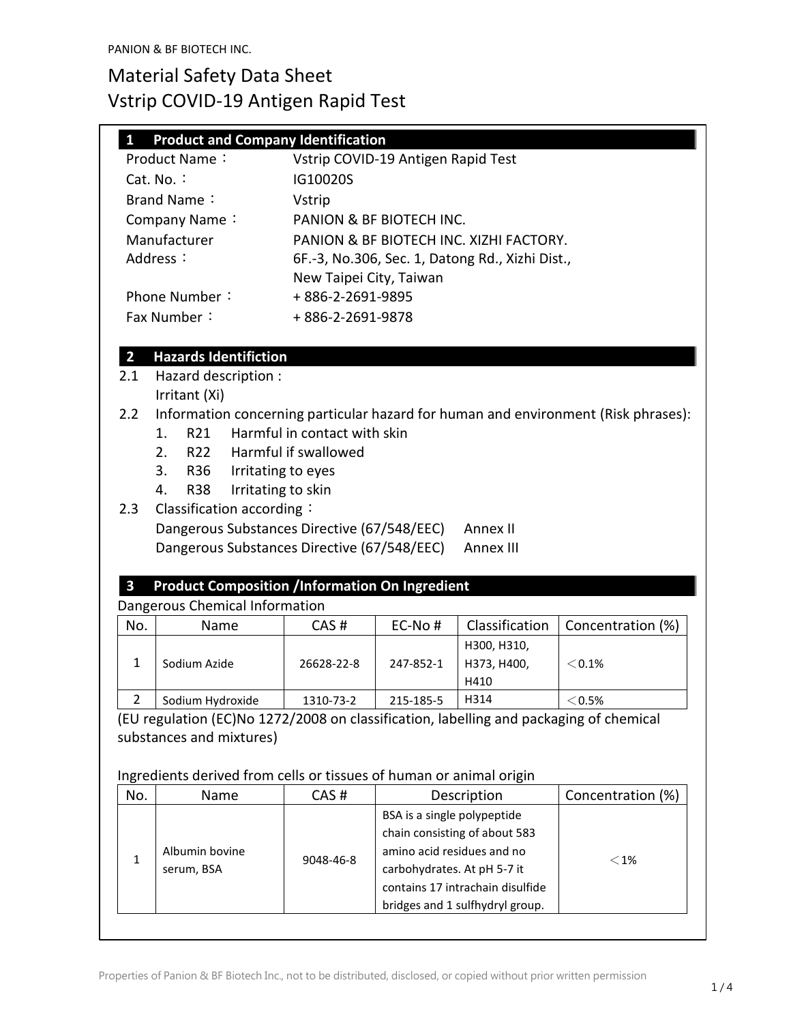### **1 Product and Company Identification**

| Product Name:     | Vstrip COVID-19 Antigen Rapid Test              |
|-------------------|-------------------------------------------------|
| Cat. No. $\colon$ | IG10020S                                        |
| Brand Name:       | <b>Vstrip</b>                                   |
| Company Name:     | PANION & BF BIOTECH INC.                        |
| Manufacturer      | PANION & BF BIOTECH INC. XIZHI FACTORY.         |
| Address:          | 6F.-3, No.306, Sec. 1, Datong Rd., Xizhi Dist., |
|                   | New Taipei City, Taiwan                         |
| Phone Number:     | +886-2-2691-9895                                |
| Fax Number:       | +886-2-2691-9878                                |

## **2 Hazards Identifiction**

- 2.1 Hazard description :
- Irritant (Xi)
- 2.2 Information concerning particular hazard for human and environment (Risk phrases):
	- 1. R21 Harmful in contact with skin
	- 2. R22 Harmful if swallowed
	- 3. R36 Irritating to eyes
	- 4. R38 Irritating to skin

### 2.3 Classification according:

Dangerous Substances Directive (67/548/EEC) Annex II Dangerous Substances Directive (67/548/EEC) Annex III

## **3 Product Composition /Information On Ingredient**

#### Dangerous Chemical Information

| No. | Name             | CAS#       | $EC-NO#$  | Classification | Concentration (%) |
|-----|------------------|------------|-----------|----------------|-------------------|
|     |                  |            |           | H300, H310,    |                   |
|     | Sodium Azide     | 26628-22-8 | 247-852-1 | H373, H400,    | $< 0.1\%$         |
|     |                  |            |           | H410           |                   |
|     | Sodium Hydroxide | 1310-73-2  | 215-185-5 | H314           | $<$ 0.5%          |

(EU regulation (EC)No 1272/2008 on classification, labelling and packaging of chemical substances and mixtures)

#### Ingredients derived from cells or tissues of human or animal origin

| No. | Name                         | CAS#      | Description                                                                                                                                                                                      | Concentration (%) |
|-----|------------------------------|-----------|--------------------------------------------------------------------------------------------------------------------------------------------------------------------------------------------------|-------------------|
|     | Albumin bovine<br>serum, BSA | 9048-46-8 | BSA is a single polypeptide<br>chain consisting of about 583<br>amino acid residues and no<br>carbohydrates. At pH 5-7 it<br>contains 17 intrachain disulfide<br>bridges and 1 sulfhydryl group. | $<$ 1%            |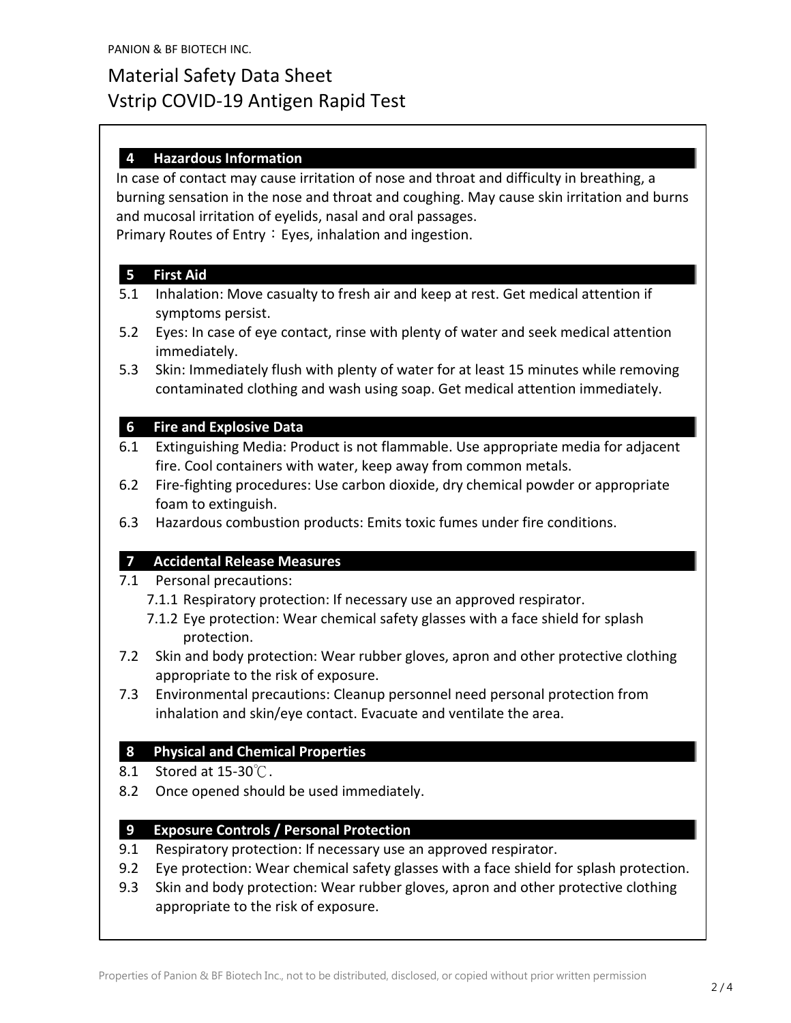### **4 Hazardous Information**

In case of contact may cause irritation of nose and throat and difficulty in breathing, a burning sensation in the nose and throat and coughing. May cause skin irritation and burns and mucosal irritation of eyelids, nasal and oral passages. Primary Routes of Entry: Eyes, inhalation and ingestion.

#### **5 First Aid**

- 5.1 Inhalation: Move casualty to fresh air and keep at rest. Get medical attention if symptoms persist.
- 5.2 Eyes: In case of eye contact, rinse with plenty of water and seek medical attention immediately.
- 5.3 Skin: Immediately flush with plenty of water for at least 15 minutes while removing contaminated clothing and wash using soap. Get medical attention immediately.

#### **6 Fire and Explosive Data**

- 6.1 Extinguishing Media: Product is not flammable. Use appropriate media for adjacent fire. Cool containers with water, keep away from common metals.
- 6.2 Fire-fighting procedures: Use carbon dioxide, dry chemical powder or appropriate foam to extinguish.
- 6.3 Hazardous combustion products: Emits toxic fumes under fire conditions.

#### **7 Accidental Release Measures**

- 7.1 Personal precautions:
	- 7.1.1 Respiratory protection: If necessary use an approved respirator.
	- 7.1.2 Eye protection: Wear chemical safety glasses with a face shield for splash protection.
- 7.2 Skin and body protection: Wear rubber gloves, apron and other protective clothing appropriate to the risk of exposure.
- 7.3 Environmental precautions: Cleanup personnel need personal protection from inhalation and skin/eye contact. Evacuate and ventilate the area.

#### **8 Physical and Chemical Properties**

- 8.1 Stored at 15-30℃.
- 8.2 Once opened should be used immediately.

#### **9 Exposure Controls / Personal Protection**

- 9.1 Respiratory protection: If necessary use an approved respirator.
- 9.2 Eye protection: Wear chemical safety glasses with a face shield for splash protection.
- 9.3 Skin and body protection: Wear rubber gloves, apron and other protective clothing appropriate to the risk of exposure.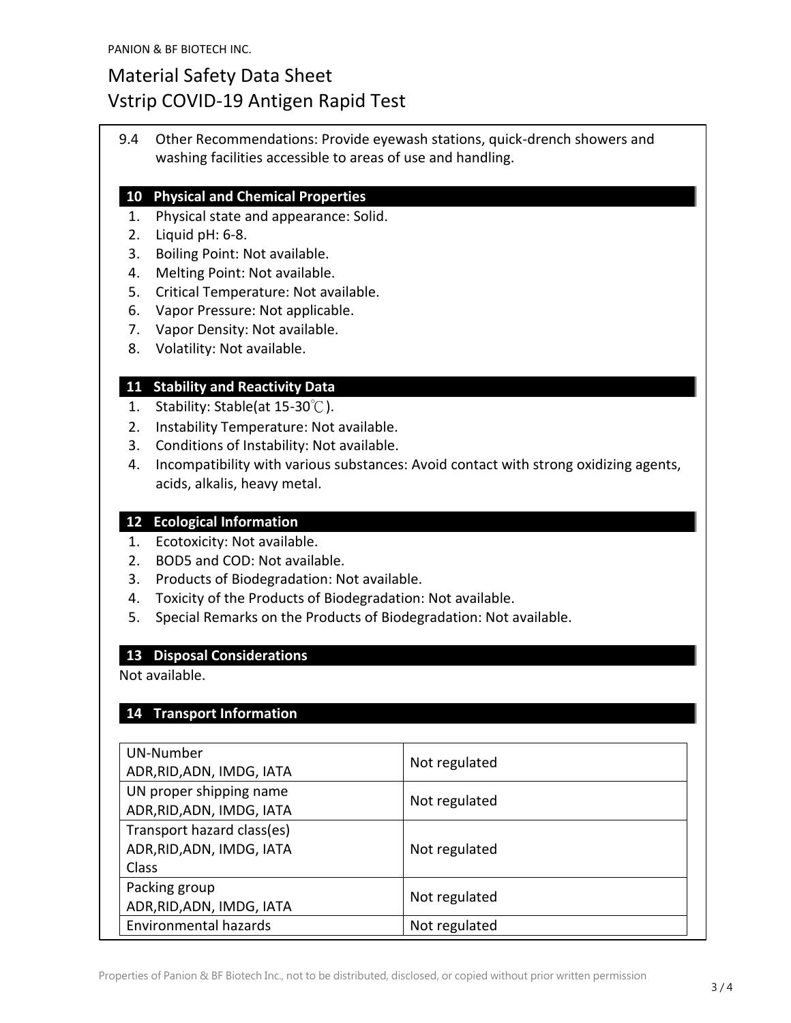9.4 Other Recommendations: Provide eyewash stations, quick-drench showers and washing facilities accessible to areas of use and handling.

#### **10 Physical and Chemical Properties**

- 1. Physical state and appearance: Solid.
- 2. Liquid pH: 6-8.
- 3. Boiling Point: Not available.
- 4. Melting Point: Not available.
- 5. Critical Temperature: Not available.
- 6. Vapor Pressure: Not applicable.
- 7. Vapor Density: Not available.
- 8. Volatility: Not available.

#### **11 Stability and Reactivity Data**

- 1. Stability: Stable(at 15-30℃).
- 2. Instability Temperature: Not available.
- 3. Conditions of Instability: Not available.
- 4. Incompatibility with various substances: Avoid contact with strong oxidizing agents, acids, alkalis, heavy metal.

#### **12 Ecological Information**

- 1. Ecotoxicity: Not available.
- 2. BOD5 and COD: Not available.
- 3. Products of Biodegradation: Not available.
- 4. Toxicity of the Products of Biodegradation: Not available.
- 5. Special Remarks on the Products of Biodegradation: Not available.

#### **13 Disposal Considerations**

Not available.

#### **14 Transport Information**

| UN-Number<br>ADR, RID, ADN, IMDG, IATA                           | Not regulated |
|------------------------------------------------------------------|---------------|
| UN proper shipping name<br>ADR, RID, ADN, IMDG, IATA             | Not regulated |
| Transport hazard class(es)<br>ADR, RID, ADN, IMDG, IATA<br>Class | Not regulated |
| Packing group<br>ADR, RID, ADN, IMDG, IATA                       | Not regulated |
| Environmental hazards                                            | Not regulated |